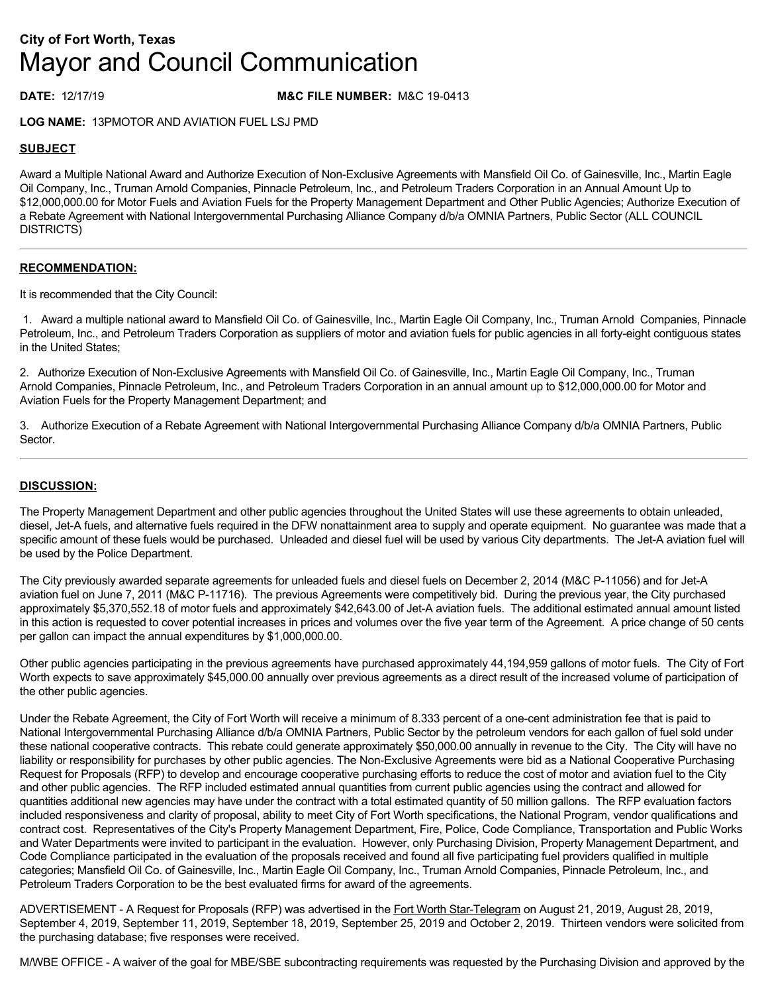# **City of Fort Worth, Texas** Mayor and Council Communication

## **DATE:** 12/17/19 **M&C FILE NUMBER:** M&C 19-0413

**LOG NAME:** 13PMOTOR AND AVIATION FUEL LSJ PMD

## **SUBJECT**

Award a Multiple National Award and Authorize Execution of Non-Exclusive Agreements with Mansfield Oil Co. of Gainesville, Inc., Martin Eagle Oil Company, Inc., Truman Arnold Companies, Pinnacle Petroleum, Inc., and Petroleum Traders Corporation in an Annual Amount Up to \$12,000,000.00 for Motor Fuels and Aviation Fuels for the Property Management Department and Other Public Agencies; Authorize Execution of a Rebate Agreement with National Intergovernmental Purchasing Alliance Company d/b/a OMNIA Partners, Public Sector (ALL COUNCIL DISTRICTS)

### **RECOMMENDATION:**

It is recommended that the City Council:

 1. Award a multiple national award to Mansfield Oil Co. of Gainesville, Inc., Martin Eagle Oil Company, Inc., Truman Arnold Companies, Pinnacle Petroleum, Inc., and Petroleum Traders Corporation as suppliers of motor and aviation fuels for public agencies in all forty-eight contiguous states in the United States;

2. Authorize Execution of Non-Exclusive Agreements with Mansfield Oil Co. of Gainesville, Inc., Martin Eagle Oil Company, Inc., Truman Arnold Companies, Pinnacle Petroleum, Inc., and Petroleum Traders Corporation in an annual amount up to \$12,000,000.00 for Motor and Aviation Fuels for the Property Management Department; and

3. Authorize Execution of a Rebate Agreement with National Intergovernmental Purchasing Alliance Company d/b/a OMNIA Partners, Public Sector.

### **DISCUSSION:**

The Property Management Department and other public agencies throughout the United States will use these agreements to obtain unleaded, diesel, Jet-A fuels, and alternative fuels required in the DFW nonattainment area to supply and operate equipment. No guarantee was made that a specific amount of these fuels would be purchased. Unleaded and diesel fuel will be used by various City departments. The Jet-A aviation fuel will be used by the Police Department.

The City previously awarded separate agreements for unleaded fuels and diesel fuels on December 2, 2014 (M&C P-11056) and for Jet-A aviation fuel on June 7, 2011 (M&C P-11716). The previous Agreements were competitively bid. During the previous year, the City purchased approximately \$5,370,552.18 of motor fuels and approximately \$42,643.00 of Jet-A aviation fuels. The additional estimated annual amount listed in this action is requested to cover potential increases in prices and volumes over the five year term of the Agreement. A price change of 50 cents per gallon can impact the annual expenditures by \$1,000,000.00.

Other public agencies participating in the previous agreements have purchased approximately 44,194,959 gallons of motor fuels. The City of Fort Worth expects to save approximately \$45,000.00 annually over previous agreements as a direct result of the increased volume of participation of the other public agencies.

Under the Rebate Agreement, the City of Fort Worth will receive a minimum of 8.333 percent of a one-cent administration fee that is paid to National Intergovernmental Purchasing Alliance d/b/a OMNIA Partners, Public Sector by the petroleum vendors for each gallon of fuel sold under these national cooperative contracts. This rebate could generate approximately \$50,000.00 annually in revenue to the City. The City will have no liability or responsibility for purchases by other public agencies. The Non-Exclusive Agreements were bid as a National Cooperative Purchasing Request for Proposals (RFP) to develop and encourage cooperative purchasing efforts to reduce the cost of motor and aviation fuel to the City and other public agencies. The RFP included estimated annual quantities from current public agencies using the contract and allowed for quantities additional new agencies may have under the contract with a total estimated quantity of 50 million gallons. The RFP evaluation factors included responsiveness and clarity of proposal, ability to meet City of Fort Worth specifications, the National Program, vendor qualifications and contract cost. Representatives of the City's Property Management Department, Fire, Police, Code Compliance, Transportation and Public Works and Water Departments were invited to participant in the evaluation. However, only Purchasing Division, Property Management Department, and Code Compliance participated in the evaluation of the proposals received and found all five participating fuel providers qualified in multiple categories; Mansfield Oil Co. of Gainesville, Inc., Martin Eagle Oil Company, Inc., Truman Arnold Companies, Pinnacle Petroleum, Inc., and Petroleum Traders Corporation to be the best evaluated firms for award of the agreements.

ADVERTISEMENT - A Request for Proposals (RFP) was advertised in the Fort Worth Star-Telegram on August 21, 2019, August 28, 2019, September 4, 2019, September 11, 2019, September 18, 2019, September 25, 2019 and October 2, 2019. Thirteen vendors were solicited from the purchasing database; five responses were received.

M/WBE OFFICE - A waiver of the goal for MBE/SBE subcontracting requirements was requested by the Purchasing Division and approved by the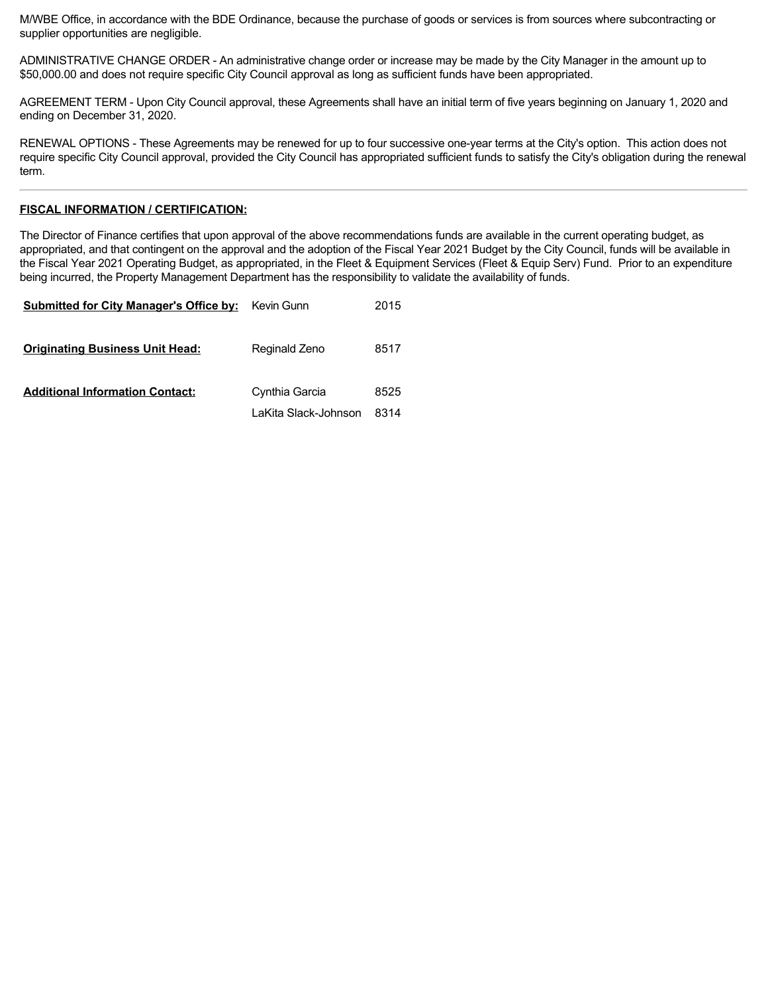M/WBE Office, in accordance with the BDE Ordinance, because the purchase of goods or services is from sources where subcontracting or supplier opportunities are negligible.

ADMINISTRATIVE CHANGE ORDER - An administrative change order or increase may be made by the City Manager in the amount up to \$50,000.00 and does not require specific City Council approval as long as sufficient funds have been appropriated.

AGREEMENT TERM - Upon City Council approval, these Agreements shall have an initial term of five years beginning on January 1, 2020 and ending on December 31, 2020.

RENEWAL OPTIONS - These Agreements may be renewed for up to four successive one-year terms at the City's option. This action does not require specific City Council approval, provided the City Council has appropriated sufficient funds to satisfy the City's obligation during the renewal term.

#### **FISCAL INFORMATION / CERTIFICATION:**

The Director of Finance certifies that upon approval of the above recommendations funds are available in the current operating budget, as appropriated, and that contingent on the approval and the adoption of the Fiscal Year 2021 Budget by the City Council, funds will be available in the Fiscal Year 2021 Operating Budget, as appropriated, in the Fleet & Equipment Services (Fleet & Equip Serv) Fund. Prior to an expenditure being incurred, the Property Management Department has the responsibility to validate the availability of funds.

| <b>Submitted for City Manager's Office by:</b> | Kevin Gunn           | 2015 |
|------------------------------------------------|----------------------|------|
| <b>Originating Business Unit Head:</b>         | Reginald Zeno        | 8517 |
| <b>Additional Information Contact:</b>         | Cynthia Garcia       | 8525 |
|                                                | LaKita Slack-Johnson | 8314 |